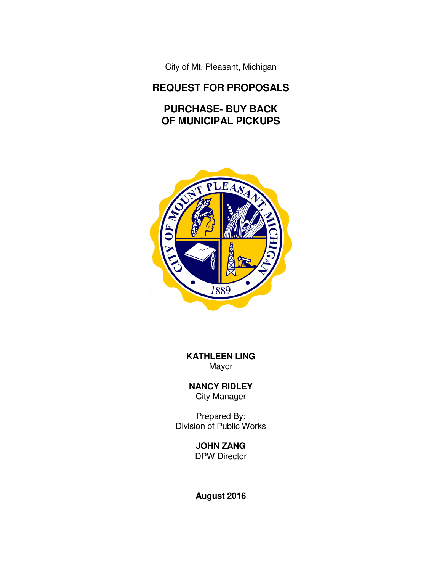City of Mt. Pleasant, Michigan

# **REQUEST FOR PROPOSALS**

# **PURCHASE- BUY BACK OF MUNICIPAL PICKUPS**



**KATHLEEN LING**  Mayor

**NANCY RIDLEY**  City Manager

Prepared By: Division of Public Works

# **JOHN ZANG**

DPW Director

**August 2016**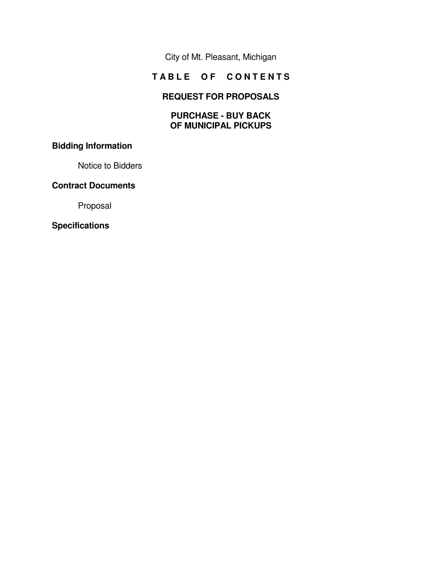City of Mt. Pleasant, Michigan

# **TABLE OF CONTENTS**

# **REQUEST FOR PROPOSALS**

#### **PURCHASE - BUY BACK OF MUNICIPAL PICKUPS**

# **Bidding Information**

Notice to Bidders

# **Contract Documents**

Proposal

#### **Specifications**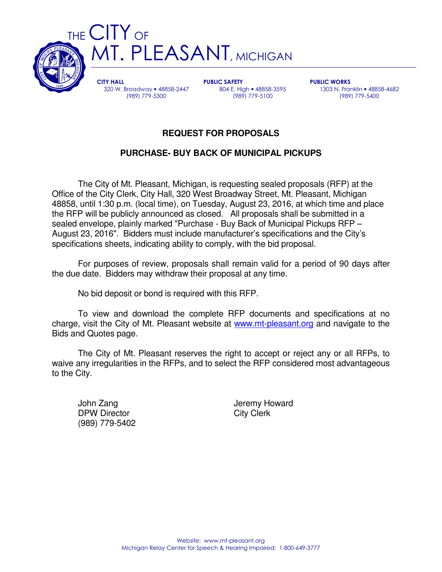

CITY HALL 320 W. Broadway • 48858-2447 (989) 779-5300

PUBLIC SAFETY 804 E. High • 48858-3595 (989) 779-5100

PUBLIC WORKS 1303 N. Franklin • 48858-4682 (989) 779-5400

# **REQUEST FOR PROPOSALS**

# **PURCHASE- BUY BACK OF MUNICIPAL PICKUPS**

 The City of Mt. Pleasant, Michigan, is requesting sealed proposals (RFP) at the Office of the City Clerk, City Hall, 320 West Broadway Street, Mt. Pleasant, Michigan 48858, until 1:30 p.m. (local time), on Tuesday, August 23, 2016, at which time and place the RFP will be publicly announced as closed. All proposals shall be submitted in a sealed envelope, plainly marked "Purchase - Buy Back of Municipal Pickups RFP – August 23, 2016". Bidders must include manufacturer's specifications and the City's specifications sheets, indicating ability to comply, with the bid proposal.

 For purposes of review, proposals shall remain valid for a period of 90 days after the due date. Bidders may withdraw their proposal at any time.

No bid deposit or bond is required with this RFP.

 To view and download the complete RFP documents and specifications at no charge, visit the City of Mt. Pleasant website at www.mt-pleasant.org and navigate to the Bids and Quotes page.

 The City of Mt. Pleasant reserves the right to accept or reject any or all RFPs, to waive any irregularities in the RFPs, and to select the RFP considered most advantageous to the City.

DPW Director City Clerk (989) 779-5402

John Zang **Jeremy Howard**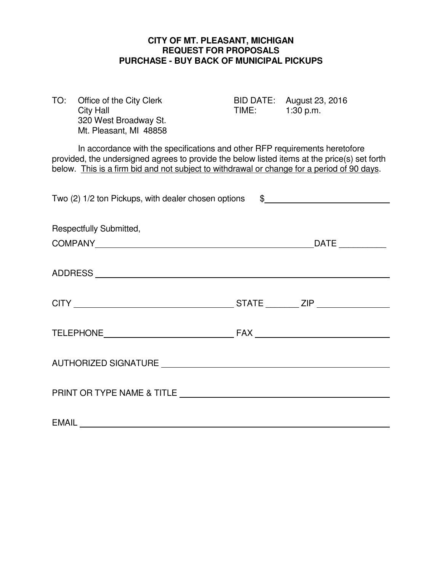#### **CITY OF MT. PLEASANT, MICHIGAN REQUEST FOR PROPOSALS PURCHASE - BUY BACK OF MUNICIPAL PICKUPS**

| TO:                                                                                                                                                                                                                                                                       | Office of the City Clerk<br><b>City Hall</b><br>320 West Broadway St.<br>Mt. Pleasant, MI 48858 | TIME: | BID DATE: August 23, 2016<br>1:30 p.m. |  |
|---------------------------------------------------------------------------------------------------------------------------------------------------------------------------------------------------------------------------------------------------------------------------|-------------------------------------------------------------------------------------------------|-------|----------------------------------------|--|
| In accordance with the specifications and other RFP requirements heretofore<br>provided, the undersigned agrees to provide the below listed items at the price(s) set forth<br>below. This is a firm bid and not subject to withdrawal or change for a period of 90 days. |                                                                                                 |       |                                        |  |
| Two (2) 1/2 ton Pickups, with dealer chosen options<br>$\frac{1}{2}$                                                                                                                                                                                                      |                                                                                                 |       |                                        |  |
| Respectfully Submitted,                                                                                                                                                                                                                                                   |                                                                                                 |       |                                        |  |
|                                                                                                                                                                                                                                                                           |                                                                                                 |       |                                        |  |
|                                                                                                                                                                                                                                                                           |                                                                                                 |       |                                        |  |
|                                                                                                                                                                                                                                                                           |                                                                                                 |       |                                        |  |
|                                                                                                                                                                                                                                                                           |                                                                                                 |       |                                        |  |
|                                                                                                                                                                                                                                                                           |                                                                                                 |       |                                        |  |
|                                                                                                                                                                                                                                                                           |                                                                                                 |       |                                        |  |
| <b>EMAIL</b>                                                                                                                                                                                                                                                              |                                                                                                 |       |                                        |  |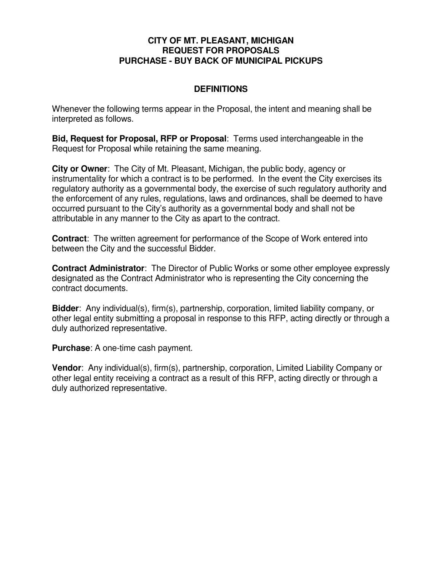#### **CITY OF MT. PLEASANT, MICHIGAN REQUEST FOR PROPOSALS PURCHASE - BUY BACK OF MUNICIPAL PICKUPS**

## **DEFINITIONS**

Whenever the following terms appear in the Proposal, the intent and meaning shall be interpreted as follows.

**Bid, Request for Proposal, RFP or Proposal**: Terms used interchangeable in the Request for Proposal while retaining the same meaning.

**City or Owner**: The City of Mt. Pleasant, Michigan, the public body, agency or instrumentality for which a contract is to be performed. In the event the City exercises its regulatory authority as a governmental body, the exercise of such regulatory authority and the enforcement of any rules, regulations, laws and ordinances, shall be deemed to have occurred pursuant to the City's authority as a governmental body and shall not be attributable in any manner to the City as apart to the contract.

**Contract**: The written agreement for performance of the Scope of Work entered into between the City and the successful Bidder.

**Contract Administrator**: The Director of Public Works or some other employee expressly designated as the Contract Administrator who is representing the City concerning the contract documents.

**Bidder**: Any individual(s), firm(s), partnership, corporation, limited liability company, or other legal entity submitting a proposal in response to this RFP, acting directly or through a duly authorized representative.

**Purchase**: A one-time cash payment.

**Vendor**: Any individual(s), firm(s), partnership, corporation, Limited Liability Company or other legal entity receiving a contract as a result of this RFP, acting directly or through a duly authorized representative.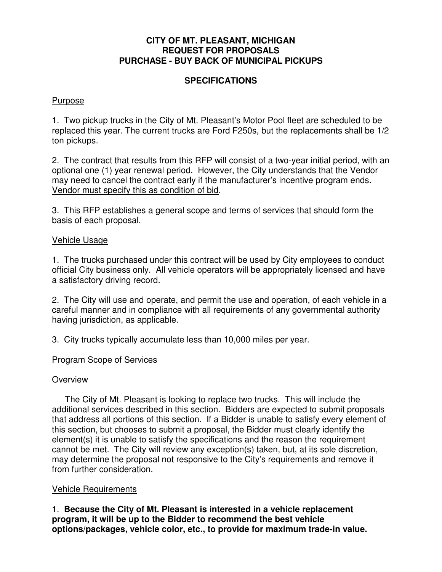#### **CITY OF MT. PLEASANT, MICHIGAN REQUEST FOR PROPOSALS PURCHASE - BUY BACK OF MUNICIPAL PICKUPS**

#### **SPECIFICATIONS**

#### Purpose

1. Two pickup trucks in the City of Mt. Pleasant's Motor Pool fleet are scheduled to be replaced this year. The current trucks are Ford F250s, but the replacements shall be 1/2 ton pickups.

2. The contract that results from this RFP will consist of a two-year initial period, with an optional one (1) year renewal period. However, the City understands that the Vendor may need to cancel the contract early if the manufacturer's incentive program ends. Vendor must specify this as condition of bid.

3. This RFP establishes a general scope and terms of services that should form the basis of each proposal.

#### Vehicle Usage

1. The trucks purchased under this contract will be used by City employees to conduct official City business only. All vehicle operators will be appropriately licensed and have a satisfactory driving record.

2. The City will use and operate, and permit the use and operation, of each vehicle in a careful manner and in compliance with all requirements of any governmental authority having jurisdiction, as applicable.

3. City trucks typically accumulate less than 10,000 miles per year.

# Program Scope of Services

#### **Overview**

 The City of Mt. Pleasant is looking to replace two trucks. This will include the additional services described in this section. Bidders are expected to submit proposals that address all portions of this section. If a Bidder is unable to satisfy every element of this section, but chooses to submit a proposal, the Bidder must clearly identify the element(s) it is unable to satisfy the specifications and the reason the requirement cannot be met. The City will review any exception(s) taken, but, at its sole discretion, may determine the proposal not responsive to the City's requirements and remove it from further consideration.

#### Vehicle Requirements

1. **Because the City of Mt. Pleasant is interested in a vehicle replacement program, it will be up to the Bidder to recommend the best vehicle options/packages, vehicle color, etc., to provide for maximum trade-in value.**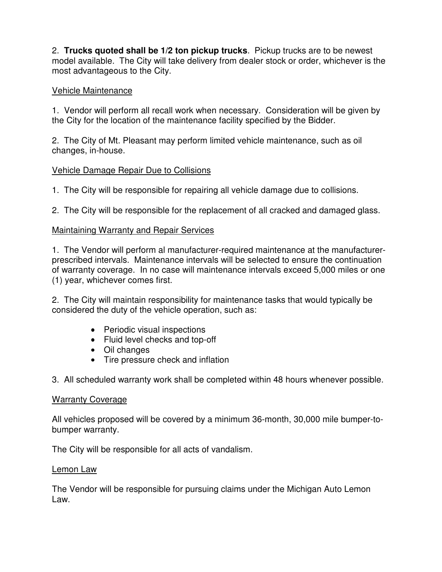2. **Trucks quoted shall be 1/2 ton pickup trucks**. Pickup trucks are to be newest model available. The City will take delivery from dealer stock or order, whichever is the most advantageous to the City.

# Vehicle Maintenance

1. Vendor will perform all recall work when necessary. Consideration will be given by the City for the location of the maintenance facility specified by the Bidder.

2. The City of Mt. Pleasant may perform limited vehicle maintenance, such as oil changes, in-house.

## Vehicle Damage Repair Due to Collisions

1. The City will be responsible for repairing all vehicle damage due to collisions.

2. The City will be responsible for the replacement of all cracked and damaged glass.

## Maintaining Warranty and Repair Services

1. The Vendor will perform al manufacturer-required maintenance at the manufacturerprescribed intervals. Maintenance intervals will be selected to ensure the continuation of warranty coverage. In no case will maintenance intervals exceed 5,000 miles or one (1) year, whichever comes first.

2. The City will maintain responsibility for maintenance tasks that would typically be considered the duty of the vehicle operation, such as:

- Periodic visual inspections
- Fluid level checks and top-off
- Oil changes
- Tire pressure check and inflation

3. All scheduled warranty work shall be completed within 48 hours whenever possible.

#### Warranty Coverage

All vehicles proposed will be covered by a minimum 36-month, 30,000 mile bumper-tobumper warranty.

The City will be responsible for all acts of vandalism.

#### Lemon Law

The Vendor will be responsible for pursuing claims under the Michigan Auto Lemon Law.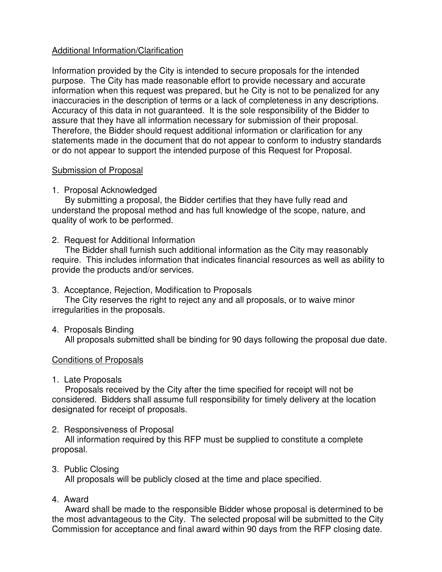# Additional Information/Clarification

Information provided by the City is intended to secure proposals for the intended purpose. The City has made reasonable effort to provide necessary and accurate information when this request was prepared, but he City is not to be penalized for any inaccuracies in the description of terms or a lack of completeness in any descriptions. Accuracy of this data in not guaranteed. It is the sole responsibility of the Bidder to assure that they have all information necessary for submission of their proposal. Therefore, the Bidder should request additional information or clarification for any statements made in the document that do not appear to conform to industry standards or do not appear to support the intended purpose of this Request for Proposal.

# Submission of Proposal

# 1. Proposal Acknowledged

 By submitting a proposal, the Bidder certifies that they have fully read and understand the proposal method and has full knowledge of the scope, nature, and quality of work to be performed.

## 2. Request for Additional Information

 The Bidder shall furnish such additional information as the City may reasonably require. This includes information that indicates financial resources as well as ability to provide the products and/or services.

# 3. Acceptance, Rejection, Modification to Proposals

 The City reserves the right to reject any and all proposals, or to waive minor irregularities in the proposals.

4. Proposals Binding

All proposals submitted shall be binding for 90 days following the proposal due date.

# Conditions of Proposals

1. Late Proposals

 Proposals received by the City after the time specified for receipt will not be considered. Bidders shall assume full responsibility for timely delivery at the location designated for receipt of proposals.

# 2. Responsiveness of Proposal

 All information required by this RFP must be supplied to constitute a complete proposal.

# 3. Public Closing

All proposals will be publicly closed at the time and place specified.

# 4. Award

 Award shall be made to the responsible Bidder whose proposal is determined to be the most advantageous to the City. The selected proposal will be submitted to the City Commission for acceptance and final award within 90 days from the RFP closing date.